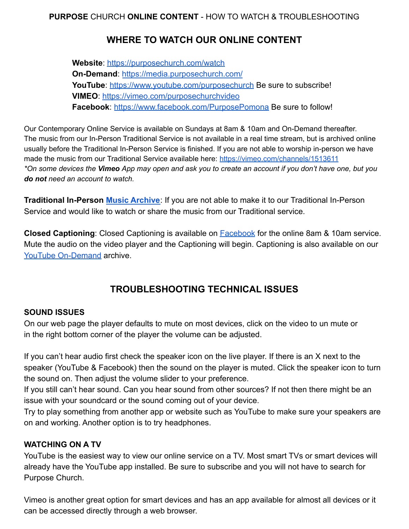## **WHERE TO WATCH OUR ONLINE CONTENT**

**Website**: <https://purposechurch.com/watch> **On-Demand**: <https://media.purposechurch.com/> **YouTube**: <https://www.youtube.com/purposechurch> Be sure to subscribe! **VIMEO**: <https://vimeo.com/purposechurchvideo> **Facebook**: <https://www.facebook.com/PurposePomona> Be sure to follow!

Our Contemporary Online Service is available on Sundays at 8am & 10am and On-Demand thereafter. The music from our In-Person Traditional Service is not available in a real time stream, but is archived online usually before the Traditional In-Person Service is finished. If you are not able to worship in-person we have made the music from our Traditional Service available here: <https://vimeo.com/channels/1513611> \*On some devices the Vimeo App may open and ask you to create an account if you don't have one, but you *do not need an account to watch.*

**Traditional In-Person [Music Archive](https://vimeo.com/channels/1513611)**: If you are not able to make it to our Traditional In-Person Service and would like to watch or share the music from our Traditional service.

**Closed Captioning**: Closed Captioning is available on [Facebook](https://www.facebook.com/PurposePomona) for the online 8am & 10am service. Mute the audio on the video player and the Captioning will begin. Captioning is also available on our [YouTube On-Demand](https://www.youtube.com/playlist?list=PL7zuxRrGTenUmgoyO8m1SkZvJlvJg0kpW) archive.

# **TROUBLESHOOTING TECHNICAL ISSUES**

## **SOUND ISSUES**

On our web page the player defaults to mute on most devices, click on the video to un mute or in the right bottom corner of the player the volume can be adjusted.

If you can't hear audio first check the speaker icon on the live player. If there is an X next to the speaker (YouTube & Facebook) then the sound on the player is muted. Click the speaker icon to turn the sound on. Then adjust the volume slider to your preference.

If you still can't hear sound. Can you hear sound from other sources? If not then there might be an issue with your soundcard or the sound coming out of your device.

Try to play something from another app or website such as YouTube to make sure your speakers are on and working. Another option is to try headphones.

#### **WATCHING ON A TV**

YouTube is the easiest way to view our online service on a TV. Most smart TVs or smart devices will already have the YouTube app installed. Be sure to subscribe and you will not have to search for Purpose Church.

Vimeo is another great option for smart devices and has an app available for almost all devices or it can be accessed directly through a web browser.